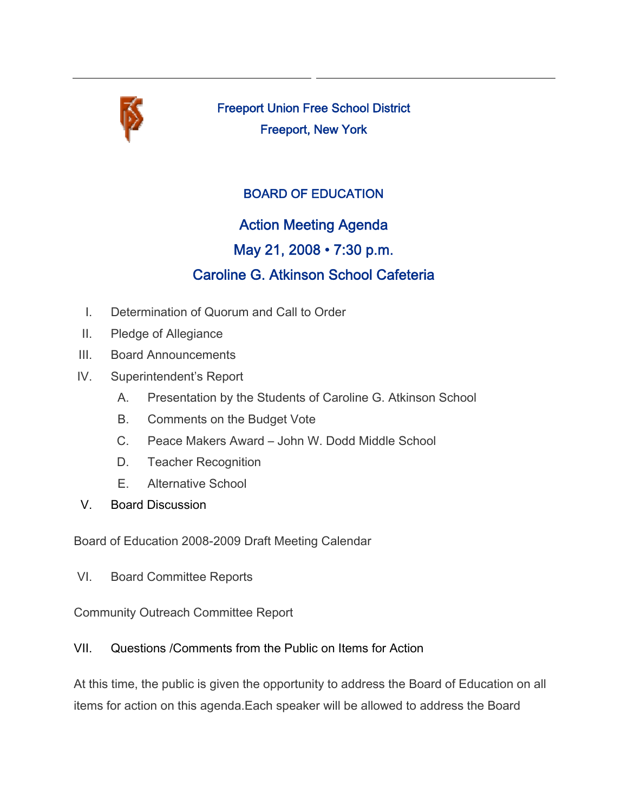

Freeport Union Free School District Freeport, New York

## BOARD OF EDUCATION

# Action Meeting Agenda

# May 21, 2008 • 7:30 p.m.

# Caroline G. Atkinson School Cafeteria

- I. Determination of Quorum and Call to Order
- II. Pledge of Allegiance
- III. Board Announcements
- IV. Superintendent's Report
	- A. Presentation by the Students of Caroline G. Atkinson School
	- B. Comments on the Budget Vote
	- C. Peace Makers Award John W. Dodd Middle School
	- D. Teacher Recognition
	- E. Alternative School
- V. Board Discussion

Board of Education 2008-2009 Draft Meeting Calendar

VI. Board Committee Reports

Community Outreach Committee Report

### VII. Questions /Comments from the Public on Items for Action

At this time, the public is given the opportunity to address the Board of Education on all items for action on this agenda.Each speaker will be allowed to address the Board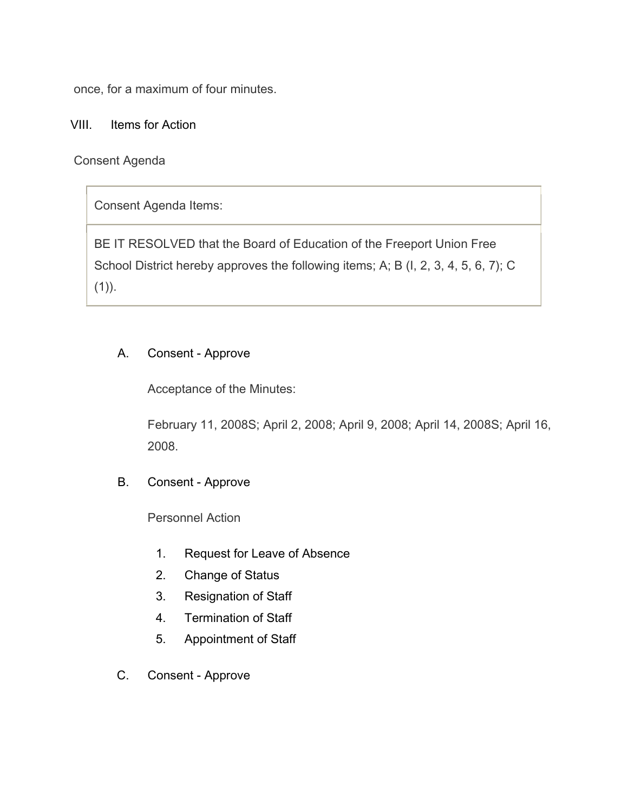once, for a maximum of four minutes.

VIII. Items for Action

Consent Agenda

Consent Agenda Items:

BE IT RESOLVED that the Board of Education of the Freeport Union Free School District hereby approves the following items; A; B (I, 2, 3, 4, 5, 6, 7); C  $(1)$ ).

### A. Consent - Approve

Acceptance of the Minutes:

February 11, 2008S; April 2, 2008; April 9, 2008; April 14, 2008S; April 16, 2008.

B. Consent - Approve

Personnel Action

- 1. Request for Leave of Absence
- 2. Change of Status
- 3. Resignation of Staff
- 4. Termination of Staff
- 5. Appointment of Staff
- C. Consent Approve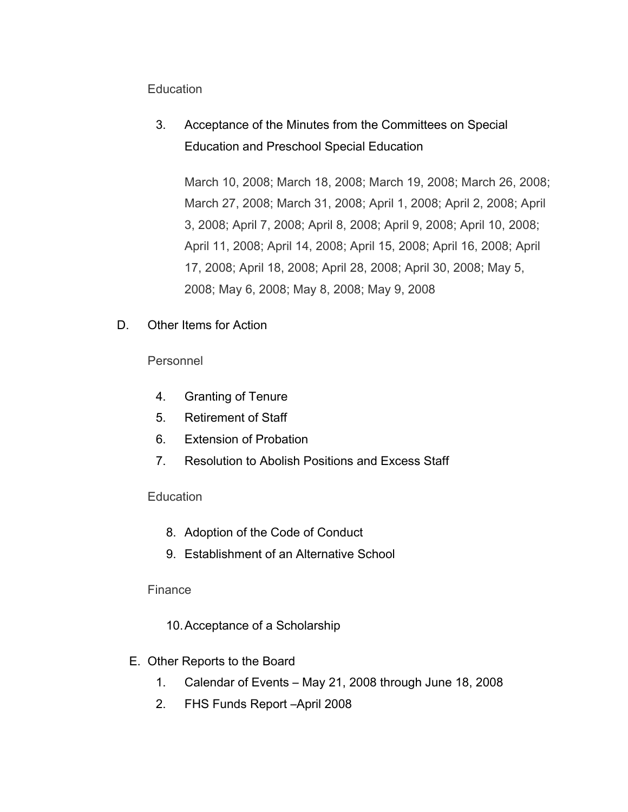#### **Education**

3. Acceptance of the Minutes from the Committees on Special Education and Preschool Special Education

March 10, 2008; March 18, 2008; March 19, 2008; March 26, 2008; March 27, 2008; March 31, 2008; April 1, 2008; April 2, 2008; April 3, 2008; April 7, 2008; April 8, 2008; April 9, 2008; April 10, 2008; April 11, 2008; April 14, 2008; April 15, 2008; April 16, 2008; April 17, 2008; April 18, 2008; April 28, 2008; April 30, 2008; May 5, 2008; May 6, 2008; May 8, 2008; May 9, 2008

D. Other Items for Action

Personnel

- 4. Granting of Tenure
- 5. Retirement of Staff
- 6. Extension of Probation
- 7. Resolution to Abolish Positions and Excess Staff

#### **Education**

- 8. Adoption of the Code of Conduct
- 9. Establishment of an Alternative School

#### Finance

- 10.Acceptance of a Scholarship
- E. Other Reports to the Board
	- 1. Calendar of Events May 21, 2008 through June 18, 2008
	- 2. FHS Funds Report –April 2008